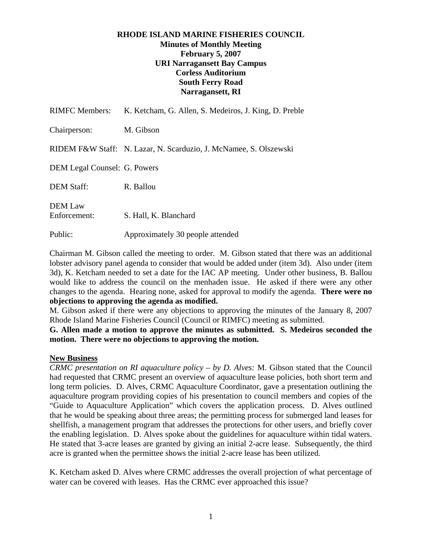## **RHODE ISLAND MARINE FISHERIES COUNCIL Minutes of Monthly Meeting February 5, 2007 URI Narragansett Bay Campus Corless Auditorium South Ferry Road Narragansett, RI**

| <b>RIMFC Members:</b>               | K. Ketcham, G. Allen, S. Medeiros, J. King, D. Preble             |
|-------------------------------------|-------------------------------------------------------------------|
| Chairperson:                        | M. Gibson                                                         |
|                                     | RIDEM F&W Staff: N. Lazar, N. Scarduzio, J. McNamee, S. Olszewski |
| <b>DEM Legal Counsel: G. Powers</b> |                                                                   |
| <b>DEM Staff:</b>                   | R. Ballou                                                         |
| <b>DEM Law</b><br>Enforcement:      | S. Hall, K. Blanchard                                             |
| Public:                             | Approximately 30 people attended                                  |

Chairman M. Gibson called the meeting to order. M. Gibson stated that there was an additional lobster advisory panel agenda to consider that would be added under (item 3d). Also under (item 3d), K. Ketcham needed to set a date for the IAC AP meeting. Under other business, B. Ballou would like to address the council on the menhaden issue. He asked if there were any other changes to the agenda. Hearing none, asked for approval to modify the agenda. **There were no objections to approving the agenda as modified.**

M. Gibson asked if there were any objections to approving the minutes of the January 8, 2007 Rhode Island Marine Fisheries Council (Council or RIMFC) meeting as submitted.

**G. Allen made a motion to approve the minutes as submitted. S. Medeiros seconded the motion. There were no objections to approving the motion.** 

## **New Business**

*CRMC presentation on RI aquaculture policy – by D. Alves:* M. Gibson stated that the Council had requested that CRMC present an overview of aquaculture lease policies, both short term and long term policies. D. Alves, CRMC Aquaculture Coordinator, gave a presentation outlining the aquaculture program providing copies of his presentation to council members and copies of the "Guide to Aquaculture Application" which covers the application process. D. Alves outlined that he would be speaking about three areas; the permitting process for submerged land leases for shellfish, a management program that addresses the protections for other users, and briefly cover the enabling legislation. D. Alves spoke about the guidelines for aquaculture within tidal waters. He stated that 3-acre leases are granted by giving an initial 2-acre lease. Subsequently, the third acre is granted when the permittee shows the initial 2-acre lease has been utilized.

K. Ketcham asked D. Alves where CRMC addresses the overall projection of what percentage of water can be covered with leases. Has the CRMC ever approached this issue?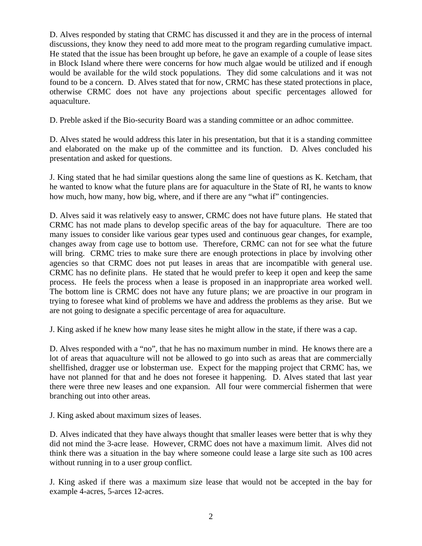D. Alves responded by stating that CRMC has discussed it and they are in the process of internal discussions, they know they need to add more meat to the program regarding cumulative impact. He stated that the issue has been brought up before, he gave an example of a couple of lease sites in Block Island where there were concerns for how much algae would be utilized and if enough would be available for the wild stock populations. They did some calculations and it was not found to be a concern. D. Alves stated that for now, CRMC has these stated protections in place, otherwise CRMC does not have any projections about specific percentages allowed for aquaculture.

D. Preble asked if the Bio-security Board was a standing committee or an adhoc committee.

D. Alves stated he would address this later in his presentation, but that it is a standing committee and elaborated on the make up of the committee and its function. D. Alves concluded his presentation and asked for questions.

J. King stated that he had similar questions along the same line of questions as K. Ketcham, that he wanted to know what the future plans are for aquaculture in the State of RI, he wants to know how much, how many, how big, where, and if there are any "what if" contingencies.

D. Alves said it was relatively easy to answer, CRMC does not have future plans. He stated that CRMC has not made plans to develop specific areas of the bay for aquaculture. There are too many issues to consider like various gear types used and continuous gear changes, for example, changes away from cage use to bottom use. Therefore, CRMC can not for see what the future will bring. CRMC tries to make sure there are enough protections in place by involving other agencies so that CRMC does not put leases in areas that are incompatible with general use. CRMC has no definite plans. He stated that he would prefer to keep it open and keep the same process. He feels the process when a lease is proposed in an inappropriate area worked well. The bottom line is CRMC does not have any future plans; we are proactive in our program in trying to foresee what kind of problems we have and address the problems as they arise. But we are not going to designate a specific percentage of area for aquaculture.

J. King asked if he knew how many lease sites he might allow in the state, if there was a cap.

D. Alves responded with a "no", that he has no maximum number in mind. He knows there are a lot of areas that aquaculture will not be allowed to go into such as areas that are commercially shellfished, dragger use or lobsterman use. Expect for the mapping project that CRMC has, we have not planned for that and he does not foresee it happening. D. Alves stated that last year there were three new leases and one expansion. All four were commercial fishermen that were branching out into other areas.

J. King asked about maximum sizes of leases.

D. Alves indicated that they have always thought that smaller leases were better that is why they did not mind the 3-acre lease. However, CRMC does not have a maximum limit. Alves did not think there was a situation in the bay where someone could lease a large site such as 100 acres without running in to a user group conflict.

J. King asked if there was a maximum size lease that would not be accepted in the bay for example 4-acres, 5-arces 12-acres.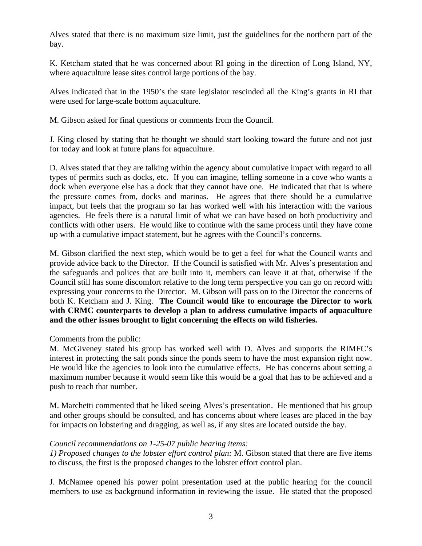Alves stated that there is no maximum size limit, just the guidelines for the northern part of the bay.

K. Ketcham stated that he was concerned about RI going in the direction of Long Island, NY, where aquaculture lease sites control large portions of the bay.

Alves indicated that in the 1950's the state legislator rescinded all the King's grants in RI that were used for large-scale bottom aquaculture.

M. Gibson asked for final questions or comments from the Council.

J. King closed by stating that he thought we should start looking toward the future and not just for today and look at future plans for aquaculture.

D. Alves stated that they are talking within the agency about cumulative impact with regard to all types of permits such as docks, etc. If you can imagine, telling someone in a cove who wants a dock when everyone else has a dock that they cannot have one. He indicated that that is where the pressure comes from, docks and marinas. He agrees that there should be a cumulative impact, but feels that the program so far has worked well with his interaction with the various agencies. He feels there is a natural limit of what we can have based on both productivity and conflicts with other users. He would like to continue with the same process until they have come up with a cumulative impact statement, but he agrees with the Council's concerns.

M. Gibson clarified the next step, which would be to get a feel for what the Council wants and provide advice back to the Director. If the Council is satisfied with Mr. Alves's presentation and the safeguards and polices that are built into it, members can leave it at that, otherwise if the Council still has some discomfort relative to the long term perspective you can go on record with expressing your concerns to the Director. M. Gibson will pass on to the Director the concerns of both K. Ketcham and J. King. **The Council would like to encourage the Director to work with CRMC counterparts to develop a plan to address cumulative impacts of aquaculture and the other issues brought to light concerning the effects on wild fisheries.** 

Comments from the public:

M. McGiveney stated his group has worked well with D. Alves and supports the RIMFC's interest in protecting the salt ponds since the ponds seem to have the most expansion right now. He would like the agencies to look into the cumulative effects. He has concerns about setting a maximum number because it would seem like this would be a goal that has to be achieved and a push to reach that number.

M. Marchetti commented that he liked seeing Alves's presentation. He mentioned that his group and other groups should be consulted, and has concerns about where leases are placed in the bay for impacts on lobstering and dragging, as well as, if any sites are located outside the bay.

# *Council recommendations on 1-25-07 public hearing items:*

*1) Proposed changes to the lobster effort control plan:* M. Gibson stated that there are five items to discuss, the first is the proposed changes to the lobster effort control plan.

J. McNamee opened his power point presentation used at the public hearing for the council members to use as background information in reviewing the issue. He stated that the proposed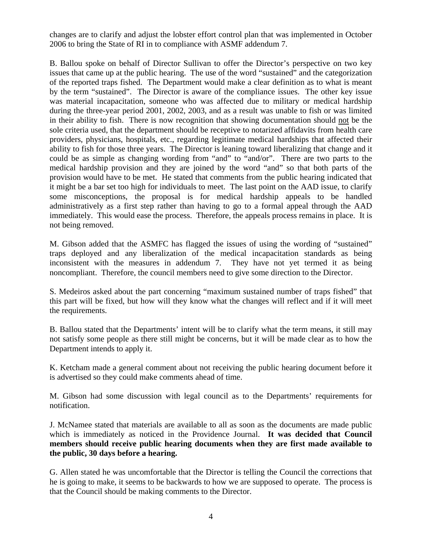changes are to clarify and adjust the lobster effort control plan that was implemented in October 2006 to bring the State of RI in to compliance with ASMF addendum 7.

B. Ballou spoke on behalf of Director Sullivan to offer the Director's perspective on two key issues that came up at the public hearing. The use of the word "sustained" and the categorization of the reported traps fished. The Department would make a clear definition as to what is meant by the term "sustained". The Director is aware of the compliance issues. The other key issue was material incapacitation, someone who was affected due to military or medical hardship during the three-year period 2001, 2002, 2003, and as a result was unable to fish or was limited in their ability to fish. There is now recognition that showing documentation should not be the sole criteria used, that the department should be receptive to notarized affidavits from health care providers, physicians, hospitals, etc., regarding legitimate medical hardships that affected their ability to fish for those three years. The Director is leaning toward liberalizing that change and it could be as simple as changing wording from "and" to "and/or". There are two parts to the medical hardship provision and they are joined by the word "and" so that both parts of the provision would have to be met. He stated that comments from the public hearing indicated that it might be a bar set too high for individuals to meet. The last point on the AAD issue, to clarify some misconceptions, the proposal is for medical hardship appeals to be handled administratively as a first step rather than having to go to a formal appeal through the AAD immediately. This would ease the process. Therefore, the appeals process remains in place. It is not being removed.

M. Gibson added that the ASMFC has flagged the issues of using the wording of "sustained" traps deployed and any liberalization of the medical incapacitation standards as being inconsistent with the measures in addendum 7. They have not yet termed it as being noncompliant. Therefore, the council members need to give some direction to the Director.

S. Medeiros asked about the part concerning "maximum sustained number of traps fished" that this part will be fixed, but how will they know what the changes will reflect and if it will meet the requirements.

B. Ballou stated that the Departments' intent will be to clarify what the term means, it still may not satisfy some people as there still might be concerns, but it will be made clear as to how the Department intends to apply it.

K. Ketcham made a general comment about not receiving the public hearing document before it is advertised so they could make comments ahead of time.

M. Gibson had some discussion with legal council as to the Departments' requirements for notification.

J. McNamee stated that materials are available to all as soon as the documents are made public which is immediately as noticed in the Providence Journal. **It was decided that Council members should receive public hearing documents when they are first made available to the public, 30 days before a hearing.** 

G. Allen stated he was uncomfortable that the Director is telling the Council the corrections that he is going to make, it seems to be backwards to how we are supposed to operate. The process is that the Council should be making comments to the Director.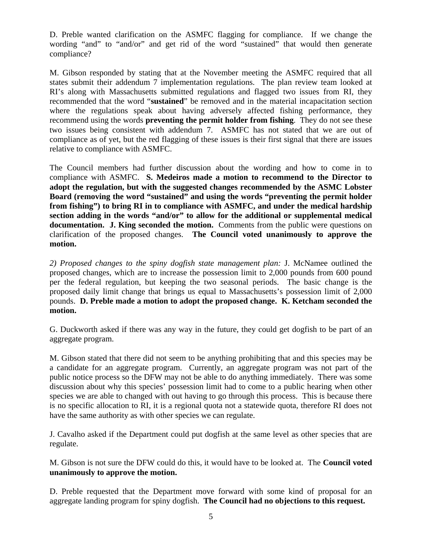D. Preble wanted clarification on the ASMFC flagging for compliance. If we change the wording "and" to "and/or" and get rid of the word "sustained" that would then generate compliance?

M. Gibson responded by stating that at the November meeting the ASMFC required that all states submit their addendum 7 implementation regulations. The plan review team looked at RI's along with Massachusetts submitted regulations and flagged two issues from RI, they recommended that the word "**sustained**" be removed and in the material incapacitation section where the regulations speak about having adversely affected fishing performance, they recommend using the words **preventing the permit holder from fishing**. They do not see these two issues being consistent with addendum 7. ASMFC has not stated that we are out of compliance as of yet, but the red flagging of these issues is their first signal that there are issues relative to compliance with ASMFC.

The Council members had further discussion about the wording and how to come in to compliance with ASMFC. **S. Medeiros made a motion to recommend to the Director to adopt the regulation, but with the suggested changes recommended by the ASMC Lobster Board (removing the word "sustained" and using the words "preventing the permit holder from fishing") to bring RI in to compliance with ASMFC, and under the medical hardship section adding in the words "and/or" to allow for the additional or supplemental medical documentation. J. King seconded the motion.** Comments from the public were questions on clarification of the proposed changes. **The Council voted unanimously to approve the motion.** 

*2) Proposed changes to the spiny dogfish state management plan:* J. McNamee outlined the proposed changes, which are to increase the possession limit to 2,000 pounds from 600 pound per the federal regulation, but keeping the two seasonal periods. The basic change is the proposed daily limit change that brings us equal to Massachusetts's possession limit of 2,000 pounds. **D. Preble made a motion to adopt the proposed change. K. Ketcham seconded the motion.** 

G. Duckworth asked if there was any way in the future, they could get dogfish to be part of an aggregate program.

M. Gibson stated that there did not seem to be anything prohibiting that and this species may be a candidate for an aggregate program. Currently, an aggregate program was not part of the public notice process so the DFW may not be able to do anything immediately. There was some discussion about why this species' possession limit had to come to a public hearing when other species we are able to changed with out having to go through this process. This is because there is no specific allocation to RI, it is a regional quota not a statewide quota, therefore RI does not have the same authority as with other species we can regulate.

J. Cavalho asked if the Department could put dogfish at the same level as other species that are regulate.

M. Gibson is not sure the DFW could do this, it would have to be looked at. The **Council voted unanimously to approve the motion.** 

D. Preble requested that the Department move forward with some kind of proposal for an aggregate landing program for spiny dogfish. **The Council had no objections to this request.**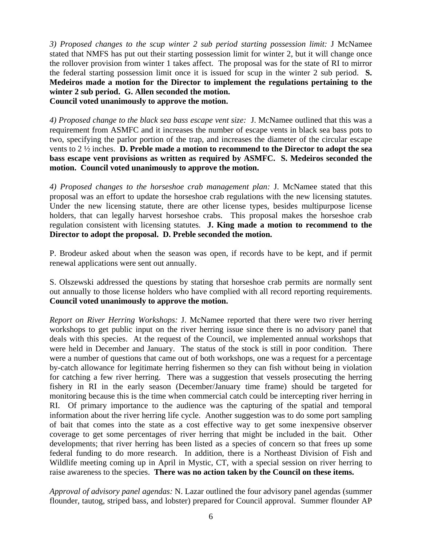*3) Proposed changes to the scup winter 2 sub period starting possession limit:* J McNamee stated that NMFS has put out their starting possession limit for winter 2, but it will change once the rollover provision from winter 1 takes affect. The proposal was for the state of RI to mirror the federal starting possession limit once it is issued for scup in the winter 2 sub period. **S. Medeiros made a motion for the Director to implement the regulations pertaining to the winter 2 sub period. G. Allen seconded the motion. Council voted unanimously to approve the motion.**

*4) Proposed change to the black sea bass escape vent size:* J. McNamee outlined that this was a requirement from ASMFC and it increases the number of escape vents in black sea bass pots to two, specifying the parlor portion of the trap, and increases the diameter of the circular escape vents to 2 ½ inches. **D. Preble made a motion to recommend to the Director to adopt the sea bass escape vent provisions as written as required by ASMFC. S. Medeiros seconded the motion. Council voted unanimously to approve the motion.**

*4) Proposed changes to the horseshoe crab management plan:* J. McNamee stated that this proposal was an effort to update the horseshoe crab regulations with the new licensing statutes. Under the new licensing statute, there are other license types, besides multipurpose license holders, that can legally harvest horseshoe crabs. This proposal makes the horseshoe crab regulation consistent with licensing statutes. **J. King made a motion to recommend to the Director to adopt the proposal. D. Preble seconded the motion.** 

P. Brodeur asked about when the season was open, if records have to be kept, and if permit renewal applications were sent out annually.

S. Olszewski addressed the questions by stating that horseshoe crab permits are normally sent out annually to those license holders who have complied with all record reporting requirements. **Council voted unanimously to approve the motion.** 

*Report on River Herring Workshops:* J. McNamee reported that there were two river herring workshops to get public input on the river herring issue since there is no advisory panel that deals with this species. At the request of the Council, we implemented annual workshops that were held in December and January. The status of the stock is still in poor condition. There were a number of questions that came out of both workshops, one was a request for a percentage by-catch allowance for legitimate herring fishermen so they can fish without being in violation for catching a few river herring. There was a suggestion that vessels prosecuting the herring fishery in RI in the early season (December/January time frame) should be targeted for monitoring because this is the time when commercial catch could be intercepting river herring in RI. Of primary importance to the audience was the capturing of the spatial and temporal information about the river herring life cycle. Another suggestion was to do some port sampling of bait that comes into the state as a cost effective way to get some inexpensive observer coverage to get some percentages of river herring that might be included in the bait. Other developments; that river herring has been listed as a species of concern so that frees up some federal funding to do more research. In addition, there is a Northeast Division of Fish and Wildlife meeting coming up in April in Mystic, CT, with a special session on river herring to raise awareness to the species. **There was no action taken by the Council on these items.** 

*Approval of advisory panel agendas:* N. Lazar outlined the four advisory panel agendas (summer flounder, tautog, striped bass, and lobster) prepared for Council approval. Summer flounder AP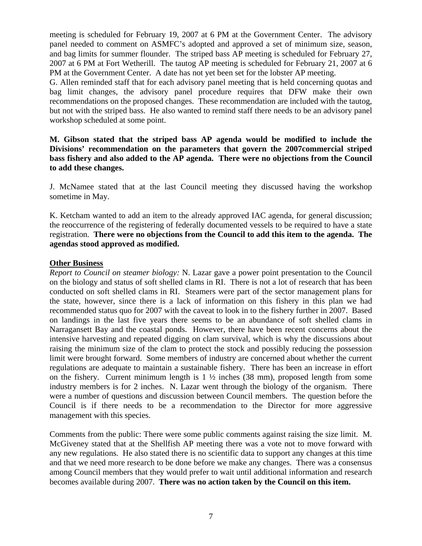meeting is scheduled for February 19, 2007 at 6 PM at the Government Center. The advisory panel needed to comment on ASMFC's adopted and approved a set of minimum size, season, and bag limits for summer flounder. The striped bass AP meeting is scheduled for February 27, 2007 at 6 PM at Fort Wetherill. The tautog AP meeting is scheduled for February 21, 2007 at 6 PM at the Government Center. A date has not yet been set for the lobster AP meeting.

G. Allen reminded staff that for each advisory panel meeting that is held concerning quotas and bag limit changes, the advisory panel procedure requires that DFW make their own recommendations on the proposed changes. These recommendation are included with the tautog, but not with the striped bass. He also wanted to remind staff there needs to be an advisory panel workshop scheduled at some point.

## **M. Gibson stated that the striped bass AP agenda would be modified to include the Divisions' recommendation on the parameters that govern the 2007commercial striped bass fishery and also added to the AP agenda. There were no objections from the Council to add these changes.**

J. McNamee stated that at the last Council meeting they discussed having the workshop sometime in May.

K. Ketcham wanted to add an item to the already approved IAC agenda, for general discussion; the reoccurrence of the registering of federally documented vessels to be required to have a state registration. **There were no objections from the Council to add this item to the agenda. The agendas stood approved as modified.** 

## **Other Business**

*Report to Council on steamer biology:* N. Lazar gave a power point presentation to the Council on the biology and status of soft shelled clams in RI. There is not a lot of research that has been conducted on soft shelled clams in RI. Steamers were part of the sector management plans for the state, however, since there is a lack of information on this fishery in this plan we had recommended status quo for 2007 with the caveat to look in to the fishery further in 2007. Based on landings in the last five years there seems to be an abundance of soft shelled clams in Narragansett Bay and the coastal ponds. However, there have been recent concerns about the intensive harvesting and repeated digging on clam survival, which is why the discussions about raising the minimum size of the clam to protect the stock and possibly reducing the possession limit were brought forward. Some members of industry are concerned about whether the current regulations are adequate to maintain a sustainable fishery. There has been an increase in effort on the fishery. Current minimum length is  $1 \frac{1}{2}$  inches (38 mm), proposed length from some industry members is for 2 inches. N. Lazar went through the biology of the organism. There were a number of questions and discussion between Council members. The question before the Council is if there needs to be a recommendation to the Director for more aggressive management with this species.

Comments from the public: There were some public comments against raising the size limit. M. McGiveney stated that at the Shellfish AP meeting there was a vote not to move forward with any new regulations. He also stated there is no scientific data to support any changes at this time and that we need more research to be done before we make any changes. There was a consensus among Council members that they would prefer to wait until additional information and research becomes available during 2007. **There was no action taken by the Council on this item.**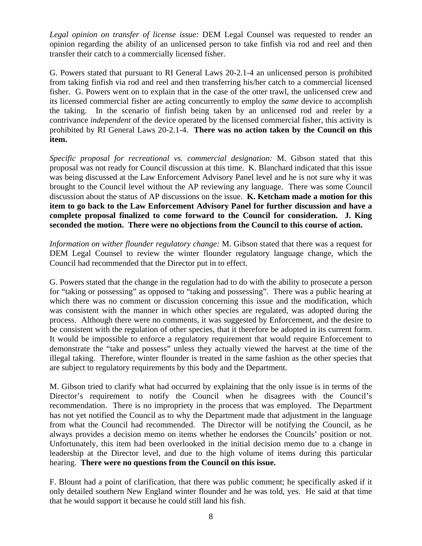*Legal opinion on transfer of license issue:* DEM Legal Counsel was requested to render an opinion regarding the ability of an unlicensed person to take finfish via rod and reel and then transfer their catch to a commercially licensed fisher.

G. Powers stated that pursuant to RI General Laws 20-2.1-4 an unlicensed person is prohibited from taking finfish via rod and reel and then transferring his/her catch to a commercial licensed fisher. G. Powers went on to explain that in the case of the otter trawl, the unlicensed crew and its licensed commercial fisher are acting concurrently to employ the *same* device to accomplish the taking. In the scenario of finfish being taken by an unlicensed rod and reeler by a contrivance *independent* of the device operated by the licensed commercial fisher, this activity is prohibited by RI General Laws 20-2.1-4. **There was no action taken by the Council on this item.** 

*Specific proposal for recreational vs. commercial designation:* M. Gibson stated that this proposal was not ready for Council discussion at this time. K. Blanchard indicated that this issue was being discussed at the Law Enforcement Advisory Panel level and he is not sure why it was brought to the Council level without the AP reviewing any language. There was some Council discussion about the status of AP discussions on the issue. **K. Ketcham made a motion for this item to go back to the Law Enforcement Advisory Panel for further discussion and have a complete proposal finalized to come forward to the Council for consideration. J. King seconded the motion. There were no objections from the Council to this course of action.**

*Information on wither flounder regulatory change:* M. Gibson stated that there was a request for DEM Legal Counsel to review the winter flounder regulatory language change, which the Council had recommended that the Director put in to effect.

G. Powers stated that the change in the regulation had to do with the ability to prosecute a person for "taking or possessing" as opposed to "taking and possessing". There was a public hearing at which there was no comment or discussion concerning this issue and the modification, which was consistent with the manner in which other species are regulated, was adopted during the process. Although there were no comments, it was suggested by Enforcement, and the desire to be consistent with the regulation of other species, that it therefore be adopted in its current form. It would be impossible to enforce a regulatory requirement that would require Enforcement to demonstrate the "take and possess" unless they actually viewed the harvest at the time of the illegal taking. Therefore, winter flounder is treated in the same fashion as the other species that are subject to regulatory requirements by this body and the Department.

M. Gibson tried to clarify what had occurred by explaining that the only issue is in terms of the Director's requirement to notify the Council when he disagrees with the Council's recommendation. There is no impropriety in the process that was employed. The Department has not yet notified the Council as to why the Department made that adjustment in the language from what the Council had recommended. The Director will be notifying the Council, as he always provides a decision memo on items whether he endorses the Councils' position or not. Unfortunately, this item had been overlooked in the initial decision memo due to a change in leadership at the Director level, and due to the high volume of items during this particular hearing. **There were no questions from the Council on this issue.** 

F. Blount had a point of clarification, that there was public comment; he specifically asked if it only detailed southern New England winter flounder and he was told, yes. He said at that time that he would support it because he could still land his fish.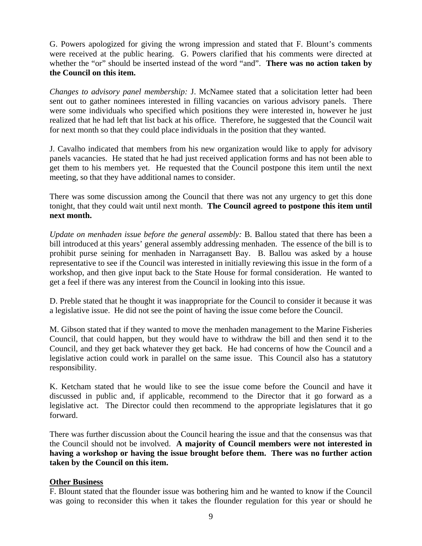G. Powers apologized for giving the wrong impression and stated that F. Blount's comments were received at the public hearing. G. Powers clarified that his comments were directed at whether the "or" should be inserted instead of the word "and". **There was no action taken by the Council on this item.** 

*Changes to advisory panel membership:* J. McNamee stated that a solicitation letter had been sent out to gather nominees interested in filling vacancies on various advisory panels. There were some individuals who specified which positions they were interested in, however he just realized that he had left that list back at his office. Therefore, he suggested that the Council wait for next month so that they could place individuals in the position that they wanted.

J. Cavalho indicated that members from his new organization would like to apply for advisory panels vacancies. He stated that he had just received application forms and has not been able to get them to his members yet. He requested that the Council postpone this item until the next meeting, so that they have additional names to consider.

There was some discussion among the Council that there was not any urgency to get this done tonight, that they could wait until next month. **The Council agreed to postpone this item until next month.** 

*Update on menhaden issue before the general assembly:* B. Ballou stated that there has been a bill introduced at this years' general assembly addressing menhaden. The essence of the bill is to prohibit purse seining for menhaden in Narragansett Bay. B. Ballou was asked by a house representative to see if the Council was interested in initially reviewing this issue in the form of a workshop, and then give input back to the State House for formal consideration. He wanted to get a feel if there was any interest from the Council in looking into this issue.

D. Preble stated that he thought it was inappropriate for the Council to consider it because it was a legislative issue. He did not see the point of having the issue come before the Council.

M. Gibson stated that if they wanted to move the menhaden management to the Marine Fisheries Council, that could happen, but they would have to withdraw the bill and then send it to the Council, and they get back whatever they get back. He had concerns of how the Council and a legislative action could work in parallel on the same issue. This Council also has a statutory responsibility.

K. Ketcham stated that he would like to see the issue come before the Council and have it discussed in public and, if applicable, recommend to the Director that it go forward as a legislative act. The Director could then recommend to the appropriate legislatures that it go forward.

There was further discussion about the Council hearing the issue and that the consensus was that the Council should not be involved. **A majority of Council members were not interested in having a workshop or having the issue brought before them. There was no further action taken by the Council on this item.** 

## **Other Business**

F. Blount stated that the flounder issue was bothering him and he wanted to know if the Council was going to reconsider this when it takes the flounder regulation for this year or should he